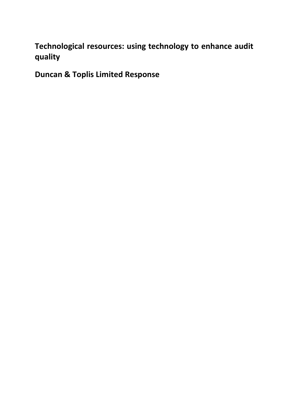# Technological resources: using technology to enhance audit quality

Duncan & Toplis Limited Response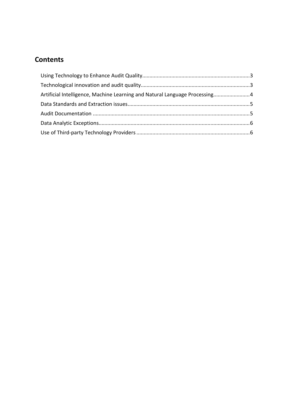# **Contents**

| Artificial Intelligence, Machine Learning and Natural Language Processing 4 |  |
|-----------------------------------------------------------------------------|--|
|                                                                             |  |
|                                                                             |  |
|                                                                             |  |
|                                                                             |  |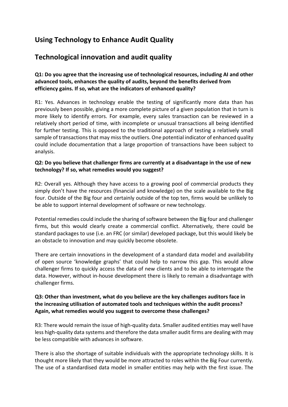### Using Technology to Enhance Audit Quality

### Technological innovation and audit quality

#### Q1: Do you agree that the increasing use of technological resources, including AI and other advanced tools, enhances the quality of audits, beyond the benefits derived from efficiency gains. If so, what are the indicators of enhanced quality?

R1: Yes. Advances in technology enable the testing of significantly more data than has previously been possible, giving a more complete picture of a given population that in turn is more likely to identify errors. For example, every sales transaction can be reviewed in a relatively short period of time, with incomplete or unusual transactions all being identified for further testing. This is opposed to the traditional approach of testing a relatively small sample of transactions that may miss the outliers. One potential indicator of enhanced quality could include documentation that a large proportion of transactions have been subject to analysis.

#### Q2: Do you believe that challenger firms are currently at a disadvantage in the use of new technology? If so, what remedies would you suggest?

R2: Overall yes. Although they have access to a growing pool of commercial products they simply don't have the resources (financial and knowledge) on the scale available to the Big four. Outside of the Big four and certainly outside of the top ten, firms would be unlikely to be able to support internal development of software or new technology.

Potential remedies could include the sharing of software between the Big four and challenger firms, but this would clearly create a commercial conflict. Alternatively, there could be standard packages to use (i.e. an FRC (or similar) developed package, but this would likely be an obstacle to innovation and may quickly become obsolete.

There are certain innovations in the development of a standard data model and availability of open source 'knowledge graphs' that could help to narrow this gap. This would allow challenger firms to quickly access the data of new clients and to be able to interrogate the data. However, without in-house development there is likely to remain a disadvantage with challenger firms.

#### Q3: Other than investment, what do you believe are the key challenges auditors face in the increasing utilisation of automated tools and techniques within the audit process? Again, what remedies would you suggest to overcome these challenges?

R3: There would remain the issue of high-quality data. Smaller audited entities may well have less high-quality data systems and therefore the data smaller audit firms are dealing with may be less compatible with advances in software.

There is also the shortage of suitable individuals with the appropriate technology skills. It is thought more likely that they would be more attracted to roles within the Big Four currently. The use of a standardised data model in smaller entities may help with the first issue. The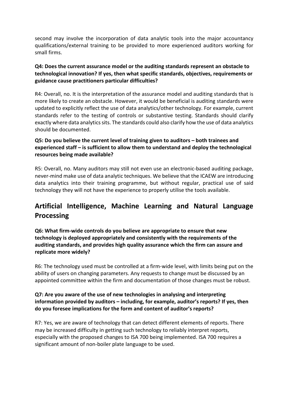second may involve the incorporation of data analytic tools into the major accountancy qualifications/external training to be provided to more experienced auditors working for small firms.

#### Q4: Does the current assurance model or the auditing standards represent an obstacle to technological innovation? If yes, then what specific standards, objectives, requirements or guidance cause practitioners particular difficulties?

R4: Overall, no. It is the interpretation of the assurance model and auditing standards that is more likely to create an obstacle. However, it would be beneficial is auditing standards were updated to explicitly reflect the use of data analytics/other technology. For example, current standards refer to the testing of controls or substantive testing. Standards should clarify exactly where data analytics sits. The standards could also clarify how the use of data analytics should be documented.

#### Q5: Do you believe the current level of training given to auditors – both trainees and experienced staff – is sufficient to allow them to understand and deploy the technological resources being made available?

R5: Overall, no. Many auditors may still not even use an electronic-based auditing package, never-mind make use of data analytic techniques. We believe that the ICAEW are introducing data analytics into their training programme, but without regular, practical use of said technology they will not have the experience to properly utilise the tools available.

# Artificial Intelligence, Machine Learning and Natural Language Processing

Q6: What firm-wide controls do you believe are appropriate to ensure that new technology is deployed appropriately and consistently with the requirements of the auditing standards, and provides high quality assurance which the firm can assure and replicate more widely?

R6: The technology used must be controlled at a firm-wide level, with limits being put on the ability of users on changing parameters. Any requests to change must be discussed by an appointed committee within the firm and documentation of those changes must be robust.

#### Q7: Are you aware of the use of new technologies in analysing and interpreting information provided by auditors – including, for example, auditor's reports? If yes, then do you foresee implications for the form and content of auditor's reports?

R7: Yes, we are aware of technology that can detect different elements of reports. There may be increased difficulty in getting such technology to reliably interpret reports, especially with the proposed changes to ISA 700 being implemented. ISA 700 requires a significant amount of non-boiler plate language to be used.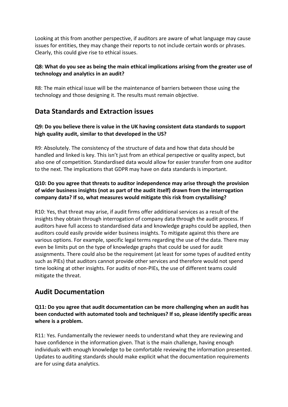Looking at this from another perspective, if auditors are aware of what language may cause issues for entities, they may change their reports to not include certain words or phrases. Clearly, this could give rise to ethical issues.

#### Q8: What do you see as being the main ethical implications arising from the greater use of technology and analytics in an audit?

R8: The main ethical issue will be the maintenance of barriers between those using the technology and those designing it. The results must remain objective.

### Data Standards and Extraction issues

#### Q9: Do you believe there is value in the UK having consistent data standards to support high quality audit, similar to that developed in the US?

R9: Absolutely. The consistency of the structure of data and how that data should be handled and linked is key. This isn't just from an ethical perspective or quality aspect, but also one of competition. Standardised data would allow for easier transfer from one auditor to the next. The implications that GDPR may have on data standards is important.

#### Q10: Do you agree that threats to auditor independence may arise through the provision of wider business insights (not as part of the audit itself) drawn from the interrogation company data? If so, what measures would mitigate this risk from crystallising?

R10: Yes, that threat may arise, if audit firms offer additional services as a result of the insights they obtain through interrogation of company data through the audit process. If auditors have full access to standardised data and knowledge graphs could be applied, then auditors could easily provide wider business insights. To mitigate against this there are various options. For example, specific legal terms regarding the use of the data. There may even be limits put on the type of knowledge graphs that could be used for audit assignments. There could also be the requirement (at least for some types of audited entity such as PIEs) that auditors cannot provide other services and therefore would not spend time looking at other insights. For audits of non-PIEs, the use of different teams could mitigate the threat.

### Audit Documentation

Q11: Do you agree that audit documentation can be more challenging when an audit has been conducted with automated tools and techniques? If so, please identify specific areas where is a problem.

R11: Yes. Fundamentally the reviewer needs to understand what they are reviewing and have confidence in the information given. That is the main challenge, having enough individuals with enough knowledge to be comfortable reviewing the information presented. Updates to auditing standards should make explicit what the documentation requirements are for using data analytics.